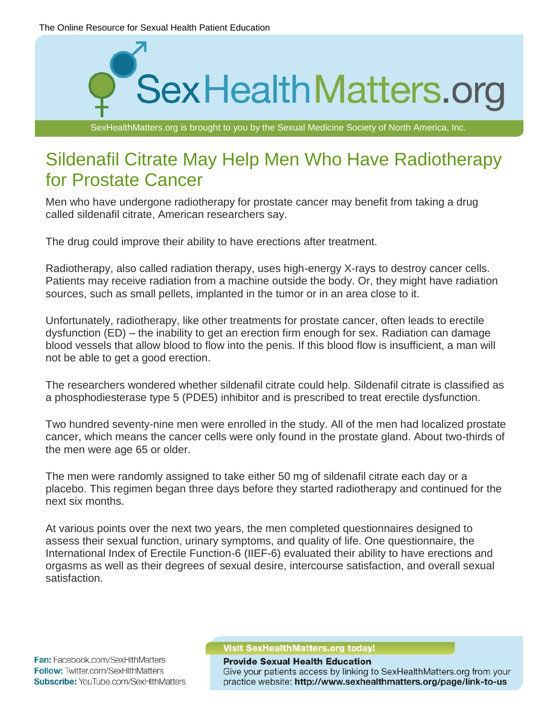

SexHealthMatters.org is brought to you by the Sexual Medicine Society of North America, Inc.

# Sildenafil Citrate May Help Men Who Have Radiotherapy for Prostate Cancer

Men who have undergone radiotherapy for prostate cancer may benefit from taking a drug called sildenafil citrate, American researchers say.

The drug could improve their ability to have erections after treatment.

Radiotherapy, also called radiation therapy, uses high-energy X-rays to destroy cancer cells. Patients may receive radiation from a machine outside the body. Or, they might have radiation sources, such as small pellets, implanted in the tumor or in an area close to it.

Unfortunately, radiotherapy, like other treatments for prostate cancer, often leads to erectile dysfunction (ED) – the inability to get an erection firm enough for sex. Radiation can damage blood vessels that allow blood to flow into the penis. If this blood flow is insufficient, a man will not be able to get a good erection.

The researchers wondered whether sildenafil citrate could help. Sildenafil citrate is classified as a phosphodiesterase type 5 (PDE5) inhibitor and is prescribed to treat erectile dysfunction.

Two hundred seventy-nine men were enrolled in the study. All of the men had localized prostate cancer, which means the cancer cells were only found in the prostate gland. About two-thirds of the men were age 65 or older.

The men were randomly assigned to take either 50 mg of sildenafil citrate each day or a placebo. This regimen began three days before they started radiotherapy and continued for the next six months.

At various points over the next two years, the men completed questionnaires designed to assess their sexual function, urinary symptoms, and quality of life. One questionnaire, the International Index of Erectile Function-6 (IIEF-6) evaluated their ability to have erections and orgasms as well as their degrees of sexual desire, intercourse satisfaction, and overall sexual satisfaction.

Fan: Facebook.com/SexHlthMatters Follow: Twitter.com/SexHlthMatters **Subscribe:** YouTube.com/SexHlthMatters

#### **Visit SexHealthMatters.org today!**

**Provide Sexual Health Education** Give your patients access by linking to SexHealthMatters.org from your practice website: http://www.sexhealthmatters.org/page/link-to-us